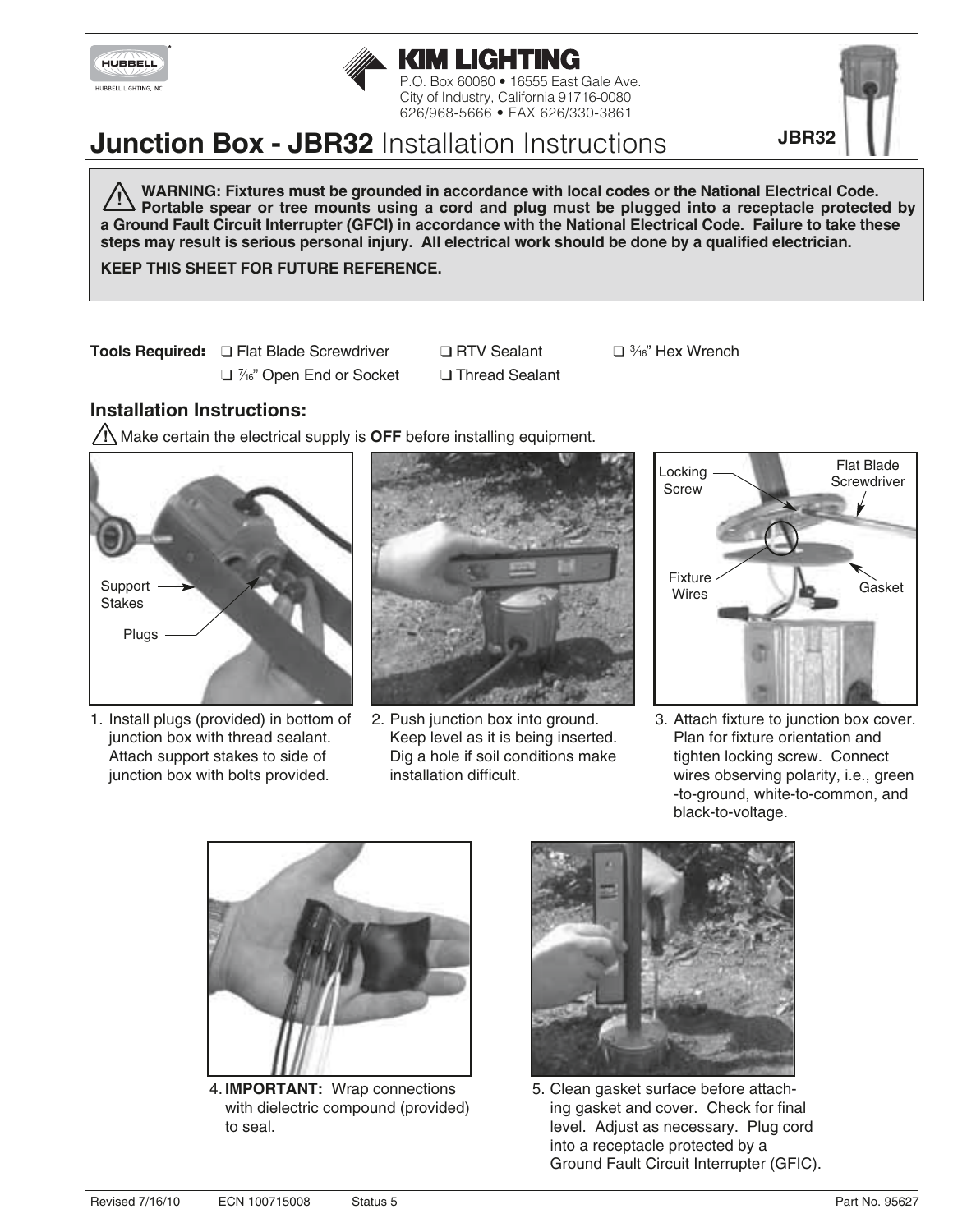



# **Junction Box - JBR32** Installation Instructions

**WARNING: Fixtures must be grounded in accordance with local codes or the National Electrical Code. Portable spear or tree mounts using a cord and plug must be plugged into a receptacle protected by a Ground Fault Circuit Interrupter (GFCI) in accordance with the National Electrical Code. Failure to take these steps may result is serious personal injury. All electrical work should be done by a qualified electrician. !**

**KEEP THIS SHEET FOR FUTURE REFERENCE.**

**Tools Required:**  $\Box$  Flat Blade Screwdriver  $\Box$  RTV Sealant  $\Box$  <sup>3</sup>/<sub>16</sub>" Hex Wrench

- $\Box$  7<sup>6</sup>" Open End or Socket  $\Box$  Thread Sealant
- 

## **Installation Instructions:**

**!** Make certain the electrical supply is **OFF** before installing equipment.



1. Install plugs (provided) in bottom of junction box with thread sealant. Attach support stakes to side of junction box with bolts provided.



2. Push junction box into ground. Keep level as it is being inserted. Dig a hole if soil conditions make installation difficult.



3. Attach fixture to junction box cover. Plan for fixture orientation and tighten locking screw. Connect wires observing polarity, i.e., green -to-ground, white-to-common, and black-to-voltage.



4. **IMPORTANT:** Wrap connections with dielectric compound (provided) to seal.



5. Clean gasket surface before attaching gasket and cover. Check for final level. Adjust as necessary. Plug cord into a receptacle protected by a Ground Fault Circuit Interrupter (GFIC).



**JBR32**